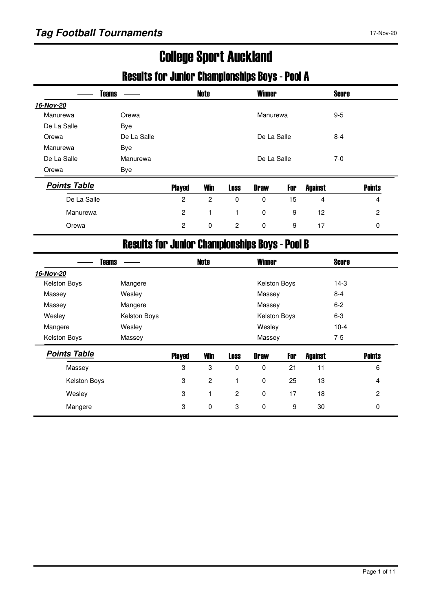# College Sport Auckland

### Results for Junior Championships Boys - Pool A

| <b>Teams</b>        |                                                       |               | <b>Note</b>    |                | <b>Winner</b> |     |                | <b>Score</b> |               |
|---------------------|-------------------------------------------------------|---------------|----------------|----------------|---------------|-----|----------------|--------------|---------------|
| 16-Nov-20           |                                                       |               |                |                |               |     |                |              |               |
| Manurewa            | Orewa                                                 |               |                |                | Manurewa      |     |                | $9-5$        |               |
| De La Salle         | <b>Bye</b>                                            |               |                |                |               |     |                |              |               |
| Orewa               | De La Salle                                           |               |                |                | De La Salle   |     |                | $8 - 4$      |               |
| Manurewa            | Bye                                                   |               |                |                |               |     |                |              |               |
| De La Salle         | Manurewa                                              |               |                |                | De La Salle   |     |                | $7-0$        |               |
| Orewa               | <b>Bye</b>                                            |               |                |                |               |     |                |              |               |
| <b>Points Table</b> |                                                       | <b>Played</b> | <b>Win</b>     | <b>Loss</b>    | <b>Draw</b>   | For | <b>Against</b> |              | <b>Points</b> |
| De La Salle         |                                                       | 2             | $\overline{c}$ | $\Omega$       | 0             | 15  | 4              |              | 4             |
| Manurewa            |                                                       | 2             | 1              | 1              | $\Omega$      | 9   | 12             |              | 2             |
| Orewa               |                                                       | 2             | $\mathbf 0$    | $\overline{2}$ | $\mathbf 0$   | 9   | 17             |              | 0             |
|                     | <b>Results for Junior Championships Boys - Pool B</b> |               |                |                |               |     |                |              |               |
| Teams               |                                                       |               | <b>Note</b>    |                | <b>Winner</b> |     |                | <b>Score</b> |               |

|                     | I Galil2     |               | NULG           |                | <b>TV IIIIIIGI</b> |     |                | <b>JUULA</b> |                |
|---------------------|--------------|---------------|----------------|----------------|--------------------|-----|----------------|--------------|----------------|
| 16-Nov-20           |              |               |                |                |                    |     |                |              |                |
| Kelston Boys        | Mangere      |               |                |                | Kelston Boys       |     |                | $14-3$       |                |
| Massey              | Wesley       |               |                |                | Massey             |     |                | $8 - 4$      |                |
| Massey              | Mangere      |               |                |                | Massey             |     |                | $6 - 2$      |                |
| Wesley              | Kelston Boys |               |                |                | Kelston Boys       |     |                | $6-3$        |                |
| Mangere             | Wesley       |               |                |                | Wesley             |     |                | $10 - 4$     |                |
| Kelston Boys        | Massey       |               |                |                | Massey             |     |                | 7-5          |                |
| <b>Points Table</b> |              | <b>Played</b> | <b>Win</b>     | <b>Loss</b>    | <b>Draw</b>        | For | <b>Against</b> |              | <b>Points</b>  |
| Massey              |              | 3             | 3              | $\mathbf 0$    | 0                  | 21  | 11             |              | 6              |
|                     | Kelston Boys | 3             | $\overline{c}$ |                | $\mathbf 0$        | 25  | 13             |              | 4              |
| Wesley              |              | 3             | 1              | $\overline{2}$ | $\mathbf 0$        | 17  | 18             |              | $\overline{2}$ |
| Mangere             |              | 3             | 0              | 3              | $\mathbf 0$        | 9   | 30             |              | 0              |
|                     |              |               |                |                |                    |     |                |              |                |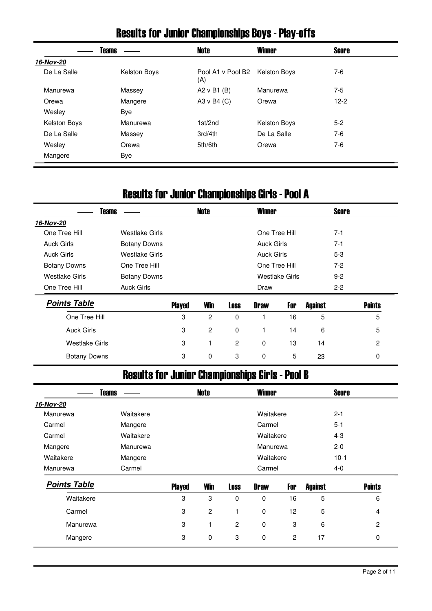# Results for Junior Championships Boys - Play-offs

|                     | <b>Teams</b> | <b>Note</b>                           | <b>Winner</b> | <b>Score</b> |  |
|---------------------|--------------|---------------------------------------|---------------|--------------|--|
| 16-Nov-20           |              |                                       |               |              |  |
| De La Salle         | Kelston Boys | Pool A1 v Pool B2 Kelston Boys<br>(A) |               | 7-6          |  |
| Manurewa            | Massey       | A2 $v$ B1 (B)                         | Manurewa      | 7-5          |  |
| Orewa               | Mangere      | A3 v B4 (C)                           | Orewa         | $12-2$       |  |
| Wesley              | Bye          |                                       |               |              |  |
| <b>Kelston Boys</b> | Manurewa     | 1st/2nd                               | Kelston Boys  | $5-2$        |  |
| De La Salle         | Massey       | 3rd/4th                               | De La Salle   | $7-6$        |  |
| Wesley              | Orewa        | 5th/6th                               | Orewa         | 7-6          |  |
| Mangere             | Bye          |                                       |               |              |  |

# Results for Junior Championships Girls - Pool A

| <b>Teams</b>          |                     |               | <b>Note</b>    |             | <b>Winner</b>     |                |                | <b>Score</b> |               |
|-----------------------|---------------------|---------------|----------------|-------------|-------------------|----------------|----------------|--------------|---------------|
| 16-Nov-20             |                     |               |                |             |                   |                |                |              |               |
| One Tree Hill         | Westlake Girls      |               |                |             | One Tree Hill     |                |                | $7 - 1$      |               |
| <b>Auck Girls</b>     | <b>Botany Downs</b> |               |                |             | <b>Auck Girls</b> |                |                | $7 - 1$      |               |
| <b>Auck Girls</b>     | Westlake Girls      |               |                |             | <b>Auck Girls</b> |                |                | $5-3$        |               |
| <b>Botany Downs</b>   | One Tree Hill       |               |                |             | One Tree Hill     |                |                | $7-2$        |               |
| <b>Westlake Girls</b> | <b>Botany Downs</b> |               |                |             |                   | Westlake Girls |                | $9-2$        |               |
| One Tree Hill         | <b>Auck Girls</b>   |               |                |             | Draw              |                |                | $2 - 2$      |               |
| <b>Points Table</b>   |                     | <b>Played</b> | <b>Win</b>     | <b>Loss</b> | <b>Draw</b>       | For            | <b>Against</b> |              | <b>Points</b> |
| One Tree Hill         |                     | 3             | $\overline{c}$ | 0           |                   | 16             | 5              |              | 5             |
| <b>Auck Girls</b>     |                     | 3             | $\mathbf{2}$   | 0           | 1                 | 14             | 6              |              | 5             |
| <b>Westlake Girls</b> |                     | 3             | 1              | 2           | 0                 | 13             | 14             |              | 2             |
| <b>Botany Downs</b>   |                     | 3             | 0              | 3           | 0                 | 5              | 23             |              | 0             |

## Results for Junior Championships Girls - Pool B

|                     | <b>Teams</b> |               | <b>Note</b>    |                | <b>Winner</b> |                |                | <b>Score</b> |               |
|---------------------|--------------|---------------|----------------|----------------|---------------|----------------|----------------|--------------|---------------|
| 16-Nov-20           |              |               |                |                |               |                |                |              |               |
| Manurewa            | Waitakere    |               |                |                | Waitakere     |                |                | $2 - 1$      |               |
| Carmel              | Mangere      |               |                |                | Carmel        |                |                | $5 - 1$      |               |
| Carmel              | Waitakere    |               |                |                | Waitakere     |                |                | $4 - 3$      |               |
| Mangere             | Manurewa     |               |                |                | Manurewa      |                |                | $2 - 0$      |               |
| Waitakere           | Mangere      |               |                |                | Waitakere     |                |                | $10-1$       |               |
| Manurewa            | Carmel       |               |                |                | Carmel        |                |                | $4 - 0$      |               |
| <b>Points Table</b> |              | <b>Played</b> | <b>Win</b>     | <b>Loss</b>    | <b>Draw</b>   | For            | <b>Against</b> |              | <b>Points</b> |
| Waitakere           |              | 3             | 3              | $\Omega$       | $\mathbf 0$   | 16             | 5              |              | 6             |
| Carmel              |              | 3             | $\overline{c}$ |                | $\mathbf 0$   | 12             | 5              |              | 4             |
| Manurewa            |              | 3             | 1              | $\overline{c}$ | $\mathbf 0$   | 3              | 6              |              | 2             |
| Mangere             |              | 3             | 0              | 3              | 0             | $\overline{c}$ | 17             |              | 0             |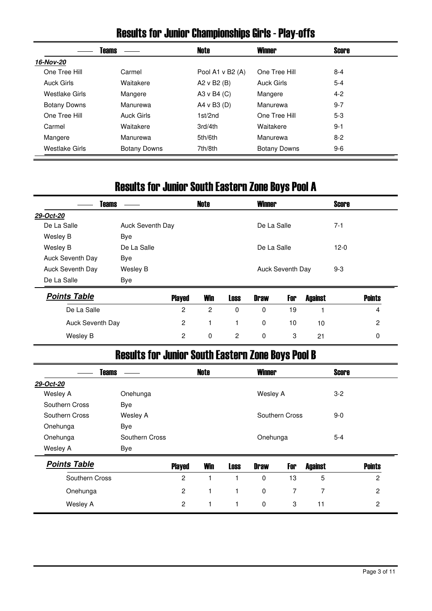### Results for Junior Championships Girls - Play-offs

|                     | Teams               | Note               | <b>Winner</b>       | Score   |  |
|---------------------|---------------------|--------------------|---------------------|---------|--|
| 16-Nov-20           |                     |                    |                     |         |  |
| One Tree Hill       | Carmel              | Pool A1 $v$ B2 (A) | One Tree Hill       | $8 - 4$ |  |
| <b>Auck Girls</b>   | Waitakere           | A2 v B2 (B)        | Auck Girls          | $5 - 4$ |  |
| Westlake Girls      | Mangere             | A3 v B4 $(C)$      | Mangere             | $4 - 2$ |  |
| <b>Botany Downs</b> | Manurewa            | A4 v B3 (D)        | Manurewa            | $9 - 7$ |  |
| One Tree Hill       | Auck Girls          | 1st/2nd            | One Tree Hill       | $5-3$   |  |
| Carmel              | Waitakere           | 3rd/4th            | Waitakere           | $9 - 1$ |  |
| Mangere             | Manurewa            | 5th/6th            | Manurewa            | $8-2$   |  |
| Westlake Girls      | <b>Botany Downs</b> | 7th/8th            | <b>Botany Downs</b> | $9-6$   |  |

### Results for Junior South Eastern Zone Boys Pool A

| <b>Teams</b>     |                  | Note | <b>Winner</b>    | <b>Score</b> |  |
|------------------|------------------|------|------------------|--------------|--|
| 29-Oct-20        |                  |      |                  |              |  |
| De La Salle      | Auck Seventh Day |      | De La Salle      | $7 - 1$      |  |
| Wesley B         | Bye              |      |                  |              |  |
| Wesley B         | De La Salle      |      | De La Salle      | $12-0$       |  |
| Auck Seventh Day | Bye              |      |                  |              |  |
| Auck Seventh Day | Wesley B         |      | Auck Seventh Day | $9 - 3$      |  |
| De La Salle      | Bye              |      |                  |              |  |
|                  |                  |      |                  |              |  |

| <b>Points Table</b> | <b>Played</b> | <b>Win</b> | Loss     | <b>Draw</b> | For | Against | <b>Points</b> |
|---------------------|---------------|------------|----------|-------------|-----|---------|---------------|
| De La Salle         |               |            | $\Omega$ |             | 19  |         |               |
| Auck Seventh Day    |               |            |          | 0           | 10  | 10      | <u>_</u>      |
| Wesley B            |               | $\Omega$   | 2        | 0           |     | 21      |               |

# Results for Junior South Eastern Zone Boys Pool B

| <b>Teams</b>        |                |                | <b>Note</b> |             | <b>Winner</b> |                |                | <b>Score</b> |                |
|---------------------|----------------|----------------|-------------|-------------|---------------|----------------|----------------|--------------|----------------|
| 29-Oct-20           |                |                |             |             |               |                |                |              |                |
| Wesley A            | Onehunga       |                |             |             | Wesley A      |                |                | $3-2$        |                |
| Southern Cross      | Bye            |                |             |             |               |                |                |              |                |
| Southern Cross      | Wesley A       |                |             |             |               | Southern Cross |                | $9 - 0$      |                |
| Onehunga            | Bye            |                |             |             |               |                |                |              |                |
| Onehunga            | Southern Cross |                |             |             | Onehunga      |                |                | $5 - 4$      |                |
| Wesley A            | Bye            |                |             |             |               |                |                |              |                |
| <b>Points Table</b> |                | <b>Played</b>  | <b>Win</b>  | <b>Loss</b> | <b>Draw</b>   | For            | <b>Against</b> |              | <b>Points</b>  |
| Southern Cross      |                | $\overline{2}$ | 1           |             | 0             | 13             | 5              |              | $\overline{2}$ |
| Onehunga            |                | 2              | 1           |             | 0             | 7              | 7              |              | $\overline{2}$ |
| Wesley A            |                | 2              | 1           |             | 0             | 3              | 11             |              | 2              |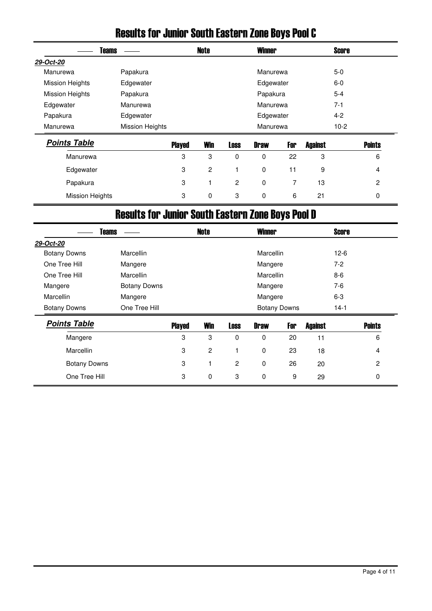|                        | DRIJILI INI "JUHUL" DUULII EASLUI II LUHU DUYS FUUI G |               |                |             |               |     |                |              |               |
|------------------------|-------------------------------------------------------|---------------|----------------|-------------|---------------|-----|----------------|--------------|---------------|
|                        | <b>Teams</b>                                          |               | Note           |             | <b>Winner</b> |     |                | <b>Score</b> |               |
| 29-Oct-20              |                                                       |               |                |             |               |     |                |              |               |
| Manurewa               | Papakura                                              |               |                |             | Manurewa      |     |                | $5-0$        |               |
| <b>Mission Heights</b> | Edgewater                                             |               |                |             | Edgewater     |     |                | $6-0$        |               |
| <b>Mission Heights</b> | Papakura                                              |               |                |             | Papakura      |     |                | $5 - 4$      |               |
| Edgewater              | Manurewa                                              |               |                |             | Manurewa      |     |                | $7 - 1$      |               |
| Papakura               | Edgewater                                             |               |                |             | Edgewater     |     |                | $4 - 2$      |               |
| Manurewa               | <b>Mission Heights</b>                                |               |                |             | Manurewa      |     |                | $10-2$       |               |
| <b>Points Table</b>    |                                                       | <b>Played</b> | <b>Win</b>     | <b>Loss</b> | <b>Draw</b>   | For | <b>Against</b> |              | <b>Points</b> |
| Manurewa               |                                                       | 3             | 3              | 0           | 0             | 22  | 3              |              | 6             |
| Edgewater              |                                                       | 3             | $\overline{c}$ | 1           | 0             | 11  | 9              |              | 4             |
|                        |                                                       |               |                |             |               |     |                |              |               |

#### Results for Junior South Eastern Zone Boys Pool C

## Results for Junior South Eastern Zone Boys Pool D

Papakura 3 1 2 0 7 13 2 Mission Heights **3** 0 3 0 6 21 0

| <b>Teams</b>        |                     |               | <b>Note</b>    |                | <b>Winner</b>    |                     |                | <b>Score</b> |               |
|---------------------|---------------------|---------------|----------------|----------------|------------------|---------------------|----------------|--------------|---------------|
| 29-Oct-20           |                     |               |                |                |                  |                     |                |              |               |
| <b>Botany Downs</b> | <b>Marcellin</b>    |               |                |                | <b>Marcellin</b> |                     |                | $12-6$       |               |
| One Tree Hill       | Mangere             |               |                |                | Mangere          |                     |                | $7-2$        |               |
| One Tree Hill       | <b>Marcellin</b>    |               |                |                | <b>Marcellin</b> |                     |                | $8-6$        |               |
| Mangere             | <b>Botany Downs</b> |               |                |                | Mangere          |                     |                | 7-6          |               |
| <b>Marcellin</b>    | Mangere             |               |                |                | Mangere          |                     |                | $6-3$        |               |
| <b>Botany Downs</b> | One Tree Hill       |               |                |                |                  | <b>Botany Downs</b> |                | $14-1$       |               |
| <b>Points Table</b> |                     | <b>Played</b> | <b>Win</b>     | <b>Loss</b>    | <b>Draw</b>      | For                 | <b>Against</b> |              | <b>Points</b> |
| Mangere             |                     | 3             | 3              | $\Omega$       | 0                | 20                  | 11             |              | 6             |
| <b>Marcellin</b>    |                     | 3             | $\overline{c}$ |                | $\mathbf 0$      | 23                  | 18             |              | 4             |
| <b>Botany Downs</b> |                     | 3             | 1              | $\overline{c}$ | 0                | 26                  | 20             |              | 2             |
| One Tree Hill       |                     | 3             | $\mathbf 0$    | 3              | $\mathbf 0$      | 9                   | 29             |              | $\Omega$      |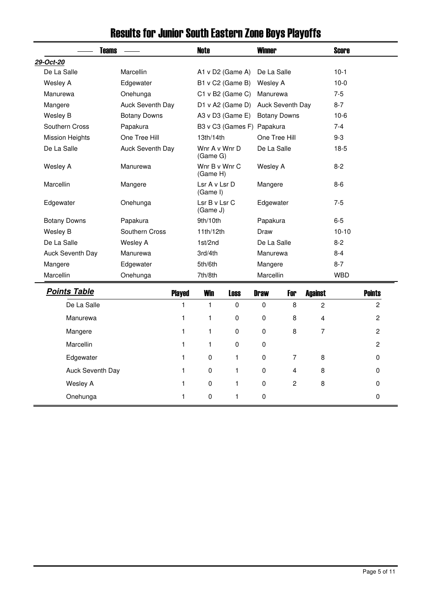| <b>Teams</b>           |                     | <b>Note</b>                             |                            | <b>Winner</b> |                  |                         | <b>Score</b> |                |
|------------------------|---------------------|-----------------------------------------|----------------------------|---------------|------------------|-------------------------|--------------|----------------|
| 29-Oct-20              |                     |                                         |                            |               |                  |                         |              |                |
| De La Salle            | Marcellin           |                                         | A1 v D2 (Game A)           | De La Salle   |                  |                         | $10-1$       |                |
| Wesley A               | Edgewater           |                                         | B1 v C2 (Game B)           | Wesley A      |                  |                         | $10-0$       |                |
| Manurewa               | Onehunga            |                                         | C1 v B2 (Game C)           | Manurewa      |                  |                         | $7-5$        |                |
| Mangere                | Auck Seventh Day    |                                         | D1 v A2 (Game D)           |               | Auck Seventh Day |                         | $8 - 7$      |                |
| Wesley B               | <b>Botany Downs</b> | A3 v D3 (Game E)<br><b>Botany Downs</b> |                            |               | $10-6$           |                         |              |                |
| Southern Cross         | Papakura            |                                         | B3 v C3 (Games F) Papakura |               |                  |                         | $7 - 4$      |                |
| <b>Mission Heights</b> | One Tree Hill       | 13th/14th                               |                            |               | One Tree Hill    |                         | $9 - 3$      |                |
| De La Salle            | Auck Seventh Day    | Wnr A v Wnr D<br>(Game G)               |                            | De La Salle   |                  |                         | $18-5$       |                |
| Wesley A               | Manurewa            | Wnr B v Wnr C<br>(Game H)               |                            | Wesley A      |                  |                         | $8-2$        |                |
| Marcellin              | Mangere             | Lsr A v Lsr D<br>(Game I)               |                            | Mangere       |                  |                         | $8-6$        |                |
| Edgewater              | Onehunga            | Lsr B v Lsr C<br>Edgewater<br>(Game J)  |                            | $7-5$         |                  |                         |              |                |
| <b>Botany Downs</b>    | Papakura            | 9th/10th                                |                            | Papakura      |                  |                         | $6-5$        |                |
| Wesley B               | Southern Cross      | 11th/12th                               |                            | Draw          |                  |                         | $10 - 10$    |                |
| De La Salle            | Wesley A            | 1st/2nd                                 |                            | De La Salle   |                  |                         | $8 - 2$      |                |
| Auck Seventh Day       | Manurewa            | 3rd/4th                                 |                            | Manurewa      |                  |                         | $8 - 4$      |                |
| Mangere                | Edgewater           | 5th/6th                                 |                            | Mangere       |                  |                         | $8 - 7$      |                |
| Marcellin              | Onehunga            | 7th/8th                                 |                            | Marcellin     |                  |                         | <b>WBD</b>   |                |
| <b>Points Table</b>    | <b>Played</b>       | <b>Win</b>                              | <b>Loss</b>                | <b>Draw</b>   | For              | <b>Against</b>          |              | <b>Points</b>  |
| De La Salle            | 1                   | $\mathbf{1}$                            | $\mathbf 0$                | $\mathbf 0$   | 8                | $\overline{2}$          |              | $\overline{2}$ |
| Manurewa               | 1                   | $\mathbf{1}$                            | 0                          | 0             | 8                | $\overline{\mathbf{4}}$ |              | $\overline{2}$ |
| Mangere                | 1                   | 1                                       | 0                          | $\pmb{0}$     | 8                | 7                       |              | 2              |
| Marcellin              | 1                   | 1                                       | 0                          | 0             |                  |                         |              | $\overline{c}$ |
| Edgewater              | 1                   | 0                                       | 1                          | 0             | 7                | 8                       |              | $\Omega$       |
| Auck Seventh Day       | 1                   | 0                                       | 1                          | $\pmb{0}$     | 4                | 8                       |              | 0              |
| Wesley A               | 1                   | 0                                       | 1                          | 0             | $\overline{c}$   | 8                       |              | 0              |
| Onehunga               | 1                   | 0                                       | 1                          | $\mathbf 0$   |                  |                         |              | $\mathbf 0$    |
|                        |                     |                                         |                            |               |                  |                         |              |                |

# Results for Junior South Eastern Zone Boys Playoffs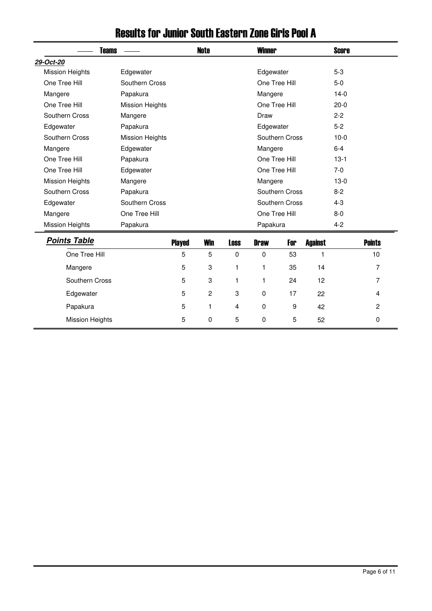| <b>Teams</b>           |                        |               | <b>Note</b>    |             | <b>Winner</b> |                |                | <b>Score</b> |                |
|------------------------|------------------------|---------------|----------------|-------------|---------------|----------------|----------------|--------------|----------------|
| 29-Oct-20              |                        |               |                |             |               |                |                |              |                |
| <b>Mission Heights</b> | Edgewater              |               |                |             | Edgewater     |                |                | $5-3$        |                |
| One Tree Hill          | Southern Cross         |               |                |             |               | One Tree Hill  |                | $5-0$        |                |
| Mangere                | Papakura               |               |                |             | Mangere       |                |                | $14-0$       |                |
| One Tree Hill          | <b>Mission Heights</b> |               |                |             |               | One Tree Hill  |                | $20-0$       |                |
| Southern Cross         | Mangere                |               |                |             | Draw          |                |                | $2 - 2$      |                |
| Edgewater              | Papakura               |               |                |             | Edgewater     |                |                | $5-2$        |                |
| Southern Cross         | <b>Mission Heights</b> |               |                |             |               | Southern Cross |                | $10-0$       |                |
| Mangere                | Edgewater              |               |                |             | Mangere       |                |                | $6-4$        |                |
| One Tree Hill          | Papakura               |               |                |             |               | One Tree Hill  |                | $13-1$       |                |
| One Tree Hill          | Edgewater              |               |                |             |               | One Tree Hill  |                | $7-0$        |                |
| <b>Mission Heights</b> | Mangere                |               |                |             | Mangere       |                |                | $13-0$       |                |
| Southern Cross         | Papakura               |               |                |             |               | Southern Cross |                | $8 - 2$      |                |
| Edgewater              | Southern Cross         |               |                |             |               | Southern Cross |                | $4 - 3$      |                |
| Mangere                | One Tree Hill          |               |                |             |               | One Tree Hill  |                | $8-0$        |                |
| <b>Mission Heights</b> | Papakura               |               |                |             | Papakura      |                |                | $4 - 2$      |                |
| <b>Points Table</b>    |                        | <b>Played</b> | <b>Win</b>     | <b>Loss</b> | <b>Draw</b>   | For            | <b>Against</b> |              | <b>Points</b>  |
| One Tree Hill          |                        | 5             | 5              | 0           | 0             | 53             | 1              |              | 10             |
| Mangere                |                        | 5             | 3              | 1           | 1             | 35             | 14             |              | 7              |
| Southern Cross         |                        | 5             | 3              | 1           | 1             | 24             | 12             |              | $\overline{7}$ |
| Edgewater              |                        | 5             | $\overline{c}$ | 3           | 0             | 17             | 22             |              | $\overline{4}$ |
| Papakura               |                        | 5             | 1              | 4           | 0             | 9              | 42             |              | $\overline{c}$ |
| <b>Mission Heights</b> |                        | 5             | 0              | 5           | 0             | 5              | 52             |              | 0              |

### Results for Junior South Eastern Zone Girls Pool A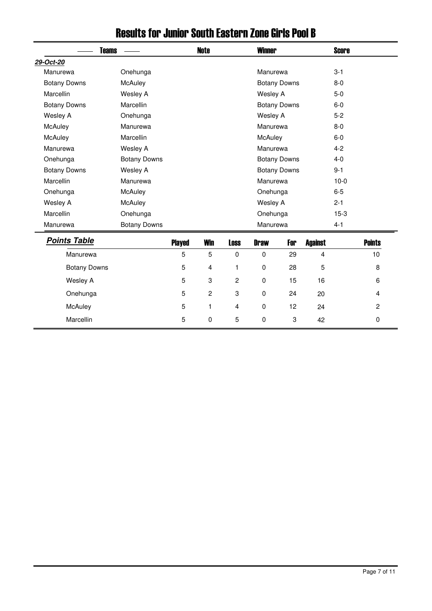|                     | <b>Teams</b>        |                | <b>Note</b>    |                | <b>Winner</b> |                     |                | <b>Score</b> |                |
|---------------------|---------------------|----------------|----------------|----------------|---------------|---------------------|----------------|--------------|----------------|
| 29-Oct-20           |                     |                |                |                |               |                     |                |              |                |
| Manurewa            | Onehunga            |                |                |                | Manurewa      |                     |                | $3 - 1$      |                |
| <b>Botany Downs</b> | McAuley             |                |                |                |               | <b>Botany Downs</b> |                | $8-0$        |                |
| Marcellin           | <b>Wesley A</b>     |                |                |                | Wesley A      |                     |                | $5-0$        |                |
| <b>Botany Downs</b> | Marcellin           |                |                |                |               | <b>Botany Downs</b> |                | $6-0$        |                |
| Wesley A            | Onehunga            |                |                |                | Wesley A      |                     |                | $5-2$        |                |
| McAuley             | Manurewa            |                |                |                | Manurewa      |                     |                | $8-0$        |                |
| McAuley             | Marcellin           |                |                |                | McAuley       |                     |                | $6-0$        |                |
| Manurewa            | Wesley A            |                |                |                | Manurewa      |                     |                | $4 - 2$      |                |
| Onehunga            | <b>Botany Downs</b> |                |                |                |               | <b>Botany Downs</b> |                | $4 - 0$      |                |
| <b>Botany Downs</b> | Wesley A            |                |                |                |               | <b>Botany Downs</b> |                | $9 - 1$      |                |
| Marcellin           | Manurewa            |                |                |                | Manurewa      |                     |                | $10-0$       |                |
| Onehunga            | McAuley             |                |                |                | Onehunga      |                     |                | $6-5$        |                |
| Wesley A            | McAuley             |                |                |                | Wesley A      |                     |                | $2 - 1$      |                |
| Marcellin           | Onehunga            |                |                |                | Onehunga      |                     |                | $15-3$       |                |
| Manurewa            | <b>Botany Downs</b> |                |                |                | Manurewa      |                     |                | $4 - 1$      |                |
| <b>Points Table</b> |                     | <b>Played</b>  | <b>Win</b>     | <b>Loss</b>    | <b>Draw</b>   | For                 | <b>Against</b> |              | <b>Points</b>  |
| Manurewa            |                     | 5              | $\overline{5}$ | $\mathbf 0$    | $\mathbf 0$   | 29                  | $\overline{4}$ |              | 10             |
| <b>Botany Downs</b> |                     | $\mathbf 5$    | 4              | 1              | 0             | 28                  | 5              |              | 8              |
| Wesley A            |                     | 5              | 3              | $\overline{c}$ | $\mathbf 0$   | 15                  | 16             |              | 6              |
| Onehunga            |                     | $\overline{5}$ | $\overline{c}$ | 3              | $\mathbf 0$   | 24                  | 20             |              | 4              |
| McAuley             |                     | $\overline{5}$ | 1              | 4              | $\mathbf 0$   | 12                  | 24             |              | $\overline{2}$ |
| Marcellin           |                     | 5              | 0              | 5              | 0             | 3                   | 42             |              | 0              |

### Results for Junior South Eastern Zone Girls Pool B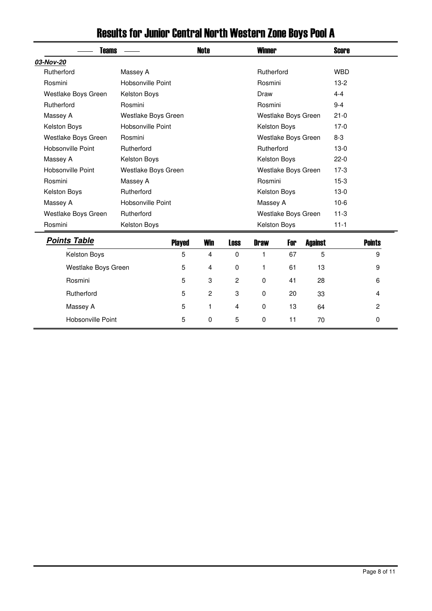| <b>Teams</b>        |                     |               | Note           |             | <b>Winner</b> |                     |                | Score      |               |
|---------------------|---------------------|---------------|----------------|-------------|---------------|---------------------|----------------|------------|---------------|
| 03-Nov-20           |                     |               |                |             |               |                     |                |            |               |
| Rutherford          | Massey A            |               |                |             | Rutherford    |                     |                | <b>WBD</b> |               |
| Rosmini             | Hobsonville Point   |               |                |             | Rosmini       |                     |                | $13-2$     |               |
| Westlake Boys Green | Kelston Boys        |               |                |             | Draw          |                     |                | $4 - 4$    |               |
| Rutherford          | Rosmini             |               |                |             | Rosmini       |                     |                | $9 - 4$    |               |
| Massey A            | Westlake Boys Green |               |                |             |               | Westlake Boys Green |                | $21 - 0$   |               |
| Kelston Boys        | Hobsonville Point   |               |                |             | Kelston Boys  |                     |                | $17-0$     |               |
| Westlake Boys Green | Rosmini             |               |                |             |               | Westlake Boys Green |                | $8-3$      |               |
| Hobsonville Point   | Rutherford          |               |                |             | Rutherford    |                     |                | $13-0$     |               |
| Massey A            | Kelston Boys        |               |                |             | Kelston Boys  |                     |                | $22-0$     |               |
| Hobsonville Point   | Westlake Boys Green |               |                |             |               | Westlake Boys Green |                | $17-3$     |               |
| Rosmini             | Massey A            |               |                |             | Rosmini       |                     |                | $15-3$     |               |
| Kelston Boys        | Rutherford          |               |                |             | Kelston Boys  |                     |                | $13-0$     |               |
| Massey A            | Hobsonville Point   |               |                |             | Massey A      |                     |                | $10-6$     |               |
| Westlake Boys Green | Rutherford          |               |                |             |               | Westlake Boys Green |                | $11-3$     |               |
| Rosmini             | Kelston Boys        |               |                |             | Kelston Boys  |                     |                | $11 - 1$   |               |
| <b>Points Table</b> |                     | <b>Played</b> | <b>Win</b>     | <b>Loss</b> | <b>Draw</b>   | For                 | <b>Against</b> |            | <b>Points</b> |
| Kelston Boys        |                     | 5             | 4              | $\mathbf 0$ | 1             | 67                  | 5              |            | 9             |
| Westlake Boys Green |                     | 5             | 4              | $\mathbf 0$ | 1             | 61                  | 13             |            | 9             |
| Rosmini             |                     | 5             | 3              | 2           | 0             | 41                  | 28             |            | 6             |
| Rutherford          |                     | 5             | $\overline{c}$ | 3           | $\mathbf 0$   | 20                  | 33             |            | 4             |
| Massey A            |                     | 5             | 1              | 4           | 0             | 13                  | 64             |            | 2             |
| Hobsonville Point   |                     | 5             | 0              | 5           | 0             | 11                  | 70             |            | $\mathbf 0$   |

# Results for Junior Central North Western Zone Boys Pool A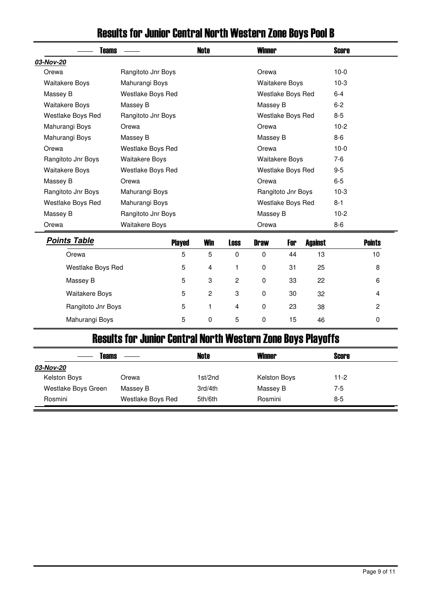| Teams                 |                       |                | Note           |             | <b>Winner</b> |                       |                | Score   |               |
|-----------------------|-----------------------|----------------|----------------|-------------|---------------|-----------------------|----------------|---------|---------------|
| 03-Nov-20             |                       |                |                |             |               |                       |                |         |               |
| Orewa                 | Rangitoto Jnr Boys    |                |                |             | Orewa         |                       |                | $10-0$  |               |
| <b>Waitakere Boys</b> | Mahurangi Boys        |                |                |             |               | <b>Waitakere Boys</b> |                | $10-3$  |               |
| Massey B              | Westlake Boys Red     |                |                |             |               | Westlake Boys Red     |                | $6 - 4$ |               |
| <b>Waitakere Boys</b> | Massey B              |                |                |             | Massey B      |                       |                | $6 - 2$ |               |
| Westlake Boys Red     | Rangitoto Jnr Boys    |                |                |             |               | Westlake Boys Red     |                | $8 - 5$ |               |
| Mahurangi Boys        | Orewa                 |                |                |             | Orewa         |                       |                | $10-2$  |               |
| Mahurangi Boys        | Massey B              |                |                |             | Massey B      |                       |                | $8-6$   |               |
| Orewa                 | Westlake Boys Red     |                |                |             | Orewa         |                       |                | $10-0$  |               |
| Rangitoto Jnr Boys    | <b>Waitakere Boys</b> |                |                |             |               | <b>Waitakere Boys</b> |                | $7-6$   |               |
| <b>Waitakere Boys</b> | Westlake Boys Red     |                |                |             |               | Westlake Boys Red     |                | $9 - 5$ |               |
| Massey B              | Orewa                 |                |                |             | Orewa         |                       |                | $6 - 5$ |               |
| Rangitoto Jnr Boys    | Mahurangi Boys        |                |                |             |               | Rangitoto Jnr Boys    |                | $10-3$  |               |
| Westlake Boys Red     | Mahurangi Boys        |                |                |             |               | Westlake Boys Red     |                | $8 - 1$ |               |
| Massey B              | Rangitoto Jnr Boys    |                |                |             | Massey B      |                       |                | $10-2$  |               |
| Orewa                 | <b>Waitakere Boys</b> |                |                |             | Orewa         |                       |                | $8 - 6$ |               |
| <b>Points Table</b>   |                       | <b>Played</b>  | Win            | <b>Loss</b> | <b>Draw</b>   | For                   | <b>Against</b> |         | <b>Points</b> |
| Orewa                 |                       | 5              | 5              | 0           | 0             | 44                    | 13             |         | 10            |
| Westlake Boys Red     |                       | 5              | 4              | 1           | 0             | 31                    | 25             |         | 8             |
| Massey B              |                       | $\overline{5}$ | 3              | 2           | 0             | 33                    | 22             |         | 6             |
| <b>Waitakere Boys</b> |                       | 5              | $\overline{2}$ | 3           | 0             | 30                    | 32             |         | 4             |

### Results for Junior Central North Western Zone Boys Pool B

### Results for Junior Central North Western Zone Boys Playoffs

Rangitoto Jnr Boys **5** 1 4 0 23 38 2 Mahurangi Boys 5 0 5 0 15 46 0

| Teams               |                   | Note    | Winner              | Score  |  |
|---------------------|-------------------|---------|---------------------|--------|--|
| 03-Nov-20           |                   |         |                     |        |  |
| Kelston Boys        | Orewa             | 1st/2nd | <b>Kelston Boys</b> | $11-2$ |  |
| Westlake Boys Green | Massey B          | 3rd/4th | Massey B            | 7-5    |  |
| Rosmini             | Westlake Boys Red | 5th/6th | Rosmini             | $8-5$  |  |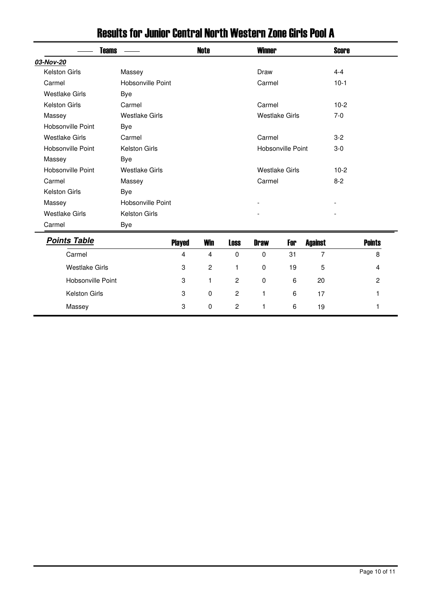| <b>Teams</b>          |                       |               | Note       |             | <b>Winner</b>         |                   |                | <b>Score</b> |               |
|-----------------------|-----------------------|---------------|------------|-------------|-----------------------|-------------------|----------------|--------------|---------------|
| 03-Nov-20             |                       |               |            |             |                       |                   |                |              |               |
| <b>Kelston Girls</b>  | Massey                |               |            |             | Draw                  |                   |                | $4 - 4$      |               |
| Carmel                | Hobsonville Point     |               |            |             | Carmel                |                   |                | $10-1$       |               |
| <b>Westlake Girls</b> | <b>Bye</b>            |               |            |             |                       |                   |                |              |               |
| <b>Kelston Girls</b>  | Carmel                |               |            |             | Carmel                |                   |                | $10-2$       |               |
| Massey                | <b>Westlake Girls</b> |               |            |             | <b>Westlake Girls</b> |                   |                | $7-0$        |               |
| Hobsonville Point     | <b>Bye</b>            |               |            |             |                       |                   |                |              |               |
| <b>Westlake Girls</b> | Carmel                |               |            |             | Carmel                |                   |                | $3-2$        |               |
| Hobsonville Point     | <b>Kelston Girls</b>  |               |            |             |                       | Hobsonville Point |                | $3-0$        |               |
| Massey                | <b>Bye</b>            |               |            |             |                       |                   |                |              |               |
| Hobsonville Point     | <b>Westlake Girls</b> |               |            |             | <b>Westlake Girls</b> |                   |                | $10-2$       |               |
| Carmel                | Massey                |               |            |             | Carmel                |                   |                | $8 - 2$      |               |
| <b>Kelston Girls</b>  | <b>Bye</b>            |               |            |             |                       |                   |                |              |               |
| Massey                | Hobsonville Point     |               |            |             |                       |                   |                |              |               |
| <b>Westlake Girls</b> | Kelston Girls         |               |            |             |                       |                   |                |              |               |
| Carmel                | Bye                   |               |            |             |                       |                   |                |              |               |
| <b>Points Table</b>   |                       | <b>Played</b> | <b>Win</b> | <b>Loss</b> | <b>Draw</b>           | For               | <b>Against</b> |              | <b>Points</b> |
| Carmel                |                       | 4             | 4          | 0           | $\mathbf 0$           | 31                | 7              |              | 8             |
| <b>Westlake Girls</b> |                       | 3             | 2          | 1           | $\mathbf 0$           | 19                | 5              |              | 4             |

Hobsonville Point **3** 1 2 0 6 20 2 Kelston Girls 3 0 2 1 6 17 1

Massey 3 0 2 1 6 19 1

#### Results for Junior Central North Western Zone Girls Pool A